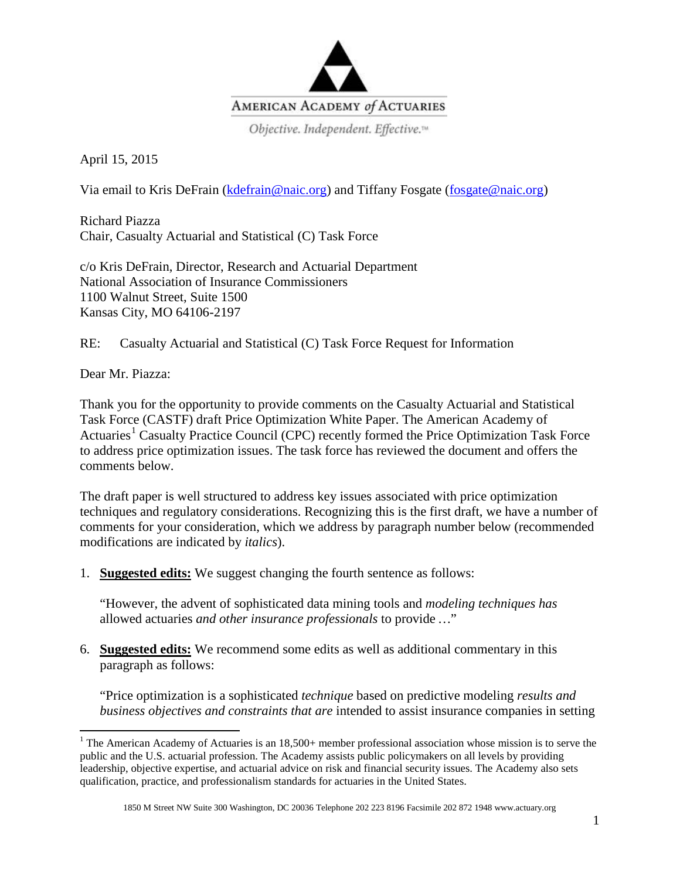

Objective. Independent. Effective.<sup>14</sup>

April 15, 2015

Via email to Kris DeFrain [\(kdefrain@naic.org\)](mailto:mwong@naic.org) and Tiffany Fosgate [\(fosgate@naic.org\)](mailto:fosgate@naic.org)

Richard Piazza Chair, Casualty Actuarial and Statistical (C) Task Force

c/o Kris DeFrain, Director, Research and Actuarial Department National Association of Insurance Commissioners 1100 Walnut Street, Suite 1500 Kansas City, MO 64106-2197

RE: Casualty Actuarial and Statistical (C) Task Force Request for Information

Dear Mr. Piazza:

Thank you for the opportunity to provide comments on the Casualty Actuarial and Statistical Task Force (CASTF) draft Price Optimization White Paper. The American Academy of Actuaries<sup>[1](#page-0-0)</sup> Casualty Practice Council (CPC) recently formed the Price Optimization Task Force to address price optimization issues. The task force has reviewed the document and offers the comments below.

The draft paper is well structured to address key issues associated with price optimization techniques and regulatory considerations. Recognizing this is the first draft, we have a number of comments for your consideration, which we address by paragraph number below (recommended modifications are indicated by *italics*).

1. **Suggested edits:** We suggest changing the fourth sentence as follows:

"However, the advent of sophisticated data mining tools and *modeling techniques has* allowed actuaries *and other insurance professionals* to provide *…*"

6. **Suggested edits:** We recommend some edits as well as additional commentary in this paragraph as follows:

"Price optimization is a sophisticated *technique* based on predictive modeling *results and business objectives and constraints that are* intended to assist insurance companies in setting

<span id="page-0-0"></span><sup>&</sup>lt;sup>1</sup> The American Academy of Actuaries is an 18,500+ member professional association whose mission is to serve the public and the U.S. actuarial profession. The Academy assists public policymakers on all levels by providing leadership, objective expertise, and actuarial advice on risk and financial security issues. The Academy also sets qualification, practice, and professionalism standards for actuaries in the United States.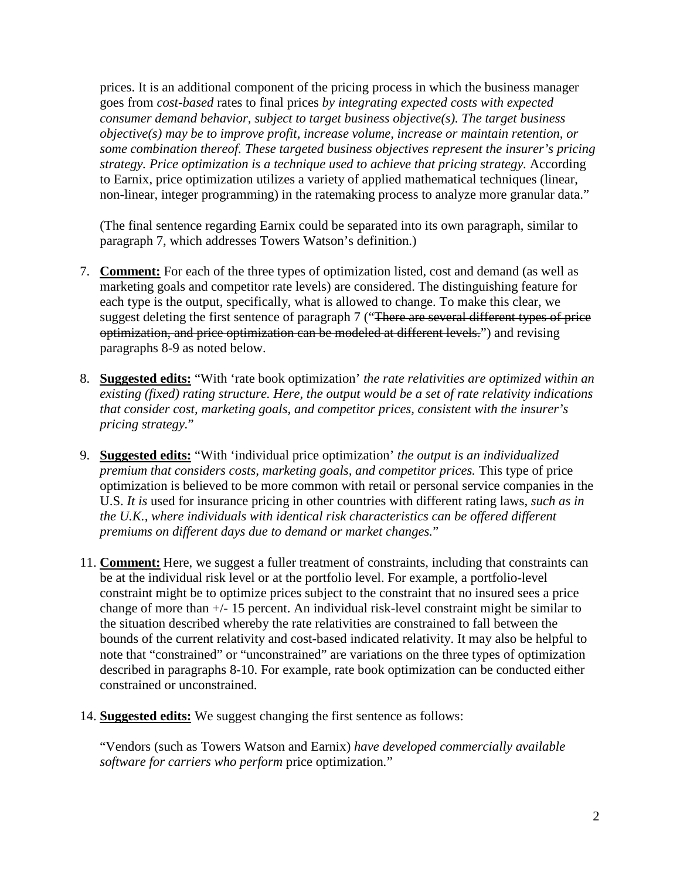prices. It is an additional component of the pricing process in which the business manager goes from *cost-based* rates to final prices *by integrating expected costs with expected consumer demand behavior, subject to target business objective(s). The target business objective(s) may be to improve profit, increase volume, increase or maintain retention, or some combination thereof. These targeted business objectives represent the insurer's pricing strategy. Price optimization is a technique used to achieve that pricing strategy.* According to Earnix, price optimization utilizes a variety of applied mathematical techniques (linear, non-linear, integer programming) in the ratemaking process to analyze more granular data."

(The final sentence regarding Earnix could be separated into its own paragraph, similar to paragraph 7, which addresses Towers Watson's definition.)

- 7. **Comment:** For each of the three types of optimization listed, cost and demand (as well as marketing goals and competitor rate levels) are considered. The distinguishing feature for each type is the output, specifically, what is allowed to change. To make this clear, we suggest deleting the first sentence of paragraph 7 ("There are several different types of price optimization, and price optimization can be modeled at different levels.") and revising paragraphs 8-9 as noted below.
- 8. **Suggested edits:** "With 'rate book optimization' *the rate relativities are optimized within an existing (fixed) rating structure. Here, the output would be a set of rate relativity indications that consider cost, marketing goals, and competitor prices, consistent with the insurer's pricing strategy.*"
- 9. **Suggested edits:** "With 'individual price optimization' *the output is an individualized premium that considers costs, marketing goals, and competitor prices.* This type of price optimization is believed to be more common with retail or personal service companies in the U.S. *It is* used for insurance pricing in other countries with different rating laws*, such as in the U.K., where individuals with identical risk characteristics can be offered different premiums on different days due to demand or market changes.*"
- 11. **Comment:** Here, we suggest a fuller treatment of constraints, including that constraints can be at the individual risk level or at the portfolio level. For example, a portfolio-level constraint might be to optimize prices subject to the constraint that no insured sees a price change of more than +/- 15 percent. An individual risk-level constraint might be similar to the situation described whereby the rate relativities are constrained to fall between the bounds of the current relativity and cost-based indicated relativity. It may also be helpful to note that "constrained" or "unconstrained" are variations on the three types of optimization described in paragraphs 8-10. For example, rate book optimization can be conducted either constrained or unconstrained.
- 14. **Suggested edits:** We suggest changing the first sentence as follows:

"Vendors (such as Towers Watson and Earnix) *have developed commercially available software for carriers who perform* price optimization*.*"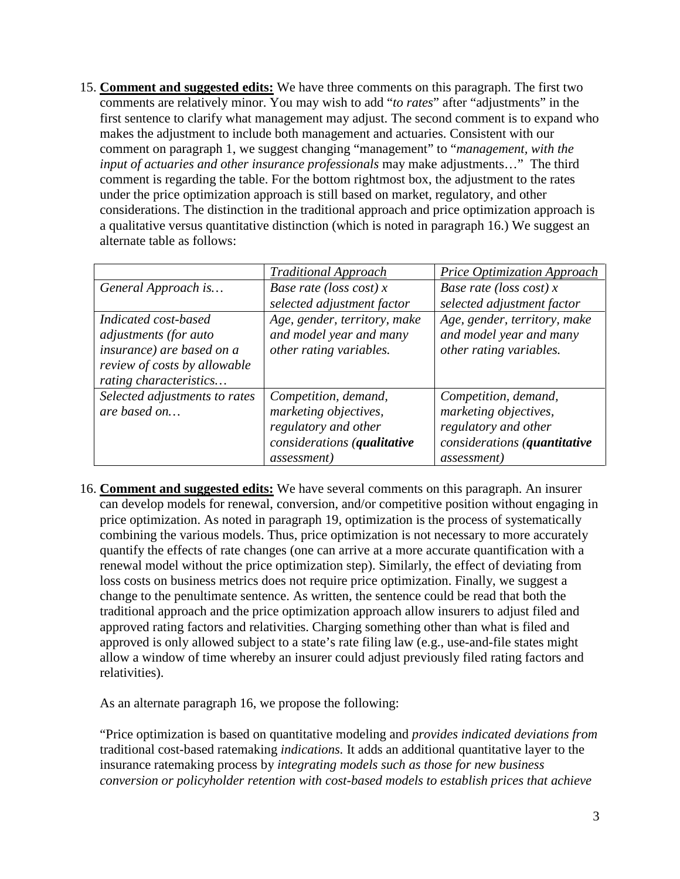15. **Comment and suggested edits:** We have three comments on this paragraph. The first two comments are relatively minor. You may wish to add "*to rates*" after "adjustments" in the first sentence to clarify what management may adjust. The second comment is to expand who makes the adjustment to include both management and actuaries. Consistent with our comment on paragraph 1, we suggest changing "management" to "*management, with the input of actuaries and other insurance professionals* may make adjustments…" The third comment is regarding the table. For the bottom rightmost box, the adjustment to the rates under the price optimization approach is still based on market, regulatory, and other considerations. The distinction in the traditional approach and price optimization approach is a qualitative versus quantitative distinction (which is noted in paragraph 16.) We suggest an alternate table as follows:

|                                                                                                                                      | <b>Traditional Approach</b>                                                                                                 | Price Optimization Approach                                                                                                  |
|--------------------------------------------------------------------------------------------------------------------------------------|-----------------------------------------------------------------------------------------------------------------------------|------------------------------------------------------------------------------------------------------------------------------|
| General Approach is                                                                                                                  | Base rate (loss cost) $x$                                                                                                   | Base rate (loss cost) $x$                                                                                                    |
|                                                                                                                                      | selected adjustment factor                                                                                                  | selected adjustment factor                                                                                                   |
| Indicated cost-based<br>adjustments (for auto<br>insurance) are based on a<br>review of costs by allowable<br>rating characteristics | Age, gender, territory, make<br>and model year and many<br>other rating variables.                                          | Age, gender, territory, make<br>and model year and many<br>other rating variables.                                           |
| Selected adjustments to rates<br>are based on                                                                                        | Competition, demand,<br>marketing objectives,<br>regulatory and other<br>considerations (qualitative<br><i>assessment</i> ) | Competition, demand,<br>marketing objectives,<br>regulatory and other<br>considerations (quantitative<br><i>assessment</i> ) |

16. **Comment and suggested edits:** We have several comments on this paragraph. An insurer can develop models for renewal, conversion, and/or competitive position without engaging in price optimization. As noted in paragraph 19, optimization is the process of systematically combining the various models. Thus, price optimization is not necessary to more accurately quantify the effects of rate changes (one can arrive at a more accurate quantification with a renewal model without the price optimization step). Similarly, the effect of deviating from loss costs on business metrics does not require price optimization. Finally, we suggest a change to the penultimate sentence. As written, the sentence could be read that both the traditional approach and the price optimization approach allow insurers to adjust filed and approved rating factors and relativities. Charging something other than what is filed and approved is only allowed subject to a state's rate filing law (e.g., use-and-file states might allow a window of time whereby an insurer could adjust previously filed rating factors and relativities).

As an alternate paragraph 16, we propose the following:

"Price optimization is based on quantitative modeling and *provides indicated deviations from*  traditional cost-based ratemaking *indications.* It adds an additional quantitative layer to the insurance ratemaking process by *integrating models such as those for new business conversion or policyholder retention with cost-based models to establish prices that achieve*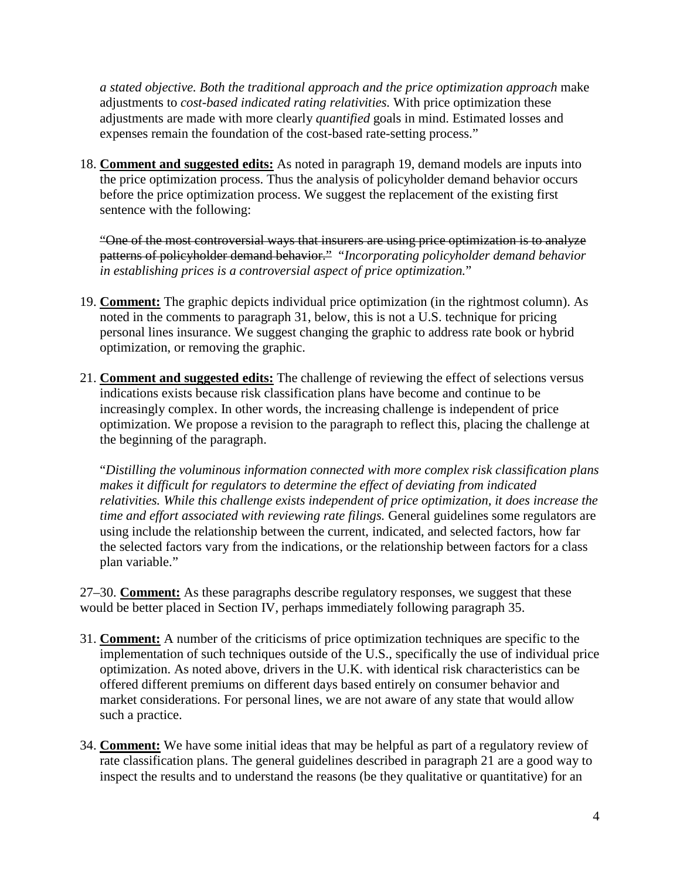*a stated objective. Both the traditional approach and the price optimization approach* make adjustments to *cost-based indicated rating relativities.* With price optimization these adjustments are made with more clearly *quantified* goals in mind. Estimated losses and expenses remain the foundation of the cost-based rate-setting process."

18. **Comment and suggested edits:** As noted in paragraph 19, demand models are inputs into the price optimization process. Thus the analysis of policyholder demand behavior occurs before the price optimization process. We suggest the replacement of the existing first sentence with the following:

"One of the most controversial ways that insurers are using price optimization is to analyze patterns of policyholder demand behavior." "*Incorporating policyholder demand behavior in establishing prices is a controversial aspect of price optimization.*"

- 19. **Comment:** The graphic depicts individual price optimization (in the rightmost column). As noted in the comments to paragraph 31, below, this is not a U.S. technique for pricing personal lines insurance. We suggest changing the graphic to address rate book or hybrid optimization, or removing the graphic.
- 21. **Comment and suggested edits:** The challenge of reviewing the effect of selections versus indications exists because risk classification plans have become and continue to be increasingly complex. In other words, the increasing challenge is independent of price optimization. We propose a revision to the paragraph to reflect this, placing the challenge at the beginning of the paragraph.

"*Distilling the voluminous information connected with more complex risk classification plans makes it difficult for regulators to determine the effect of deviating from indicated relativities. While this challenge exists independent of price optimization, it does increase the time and effort associated with reviewing rate filings.* General guidelines some regulators are using include the relationship between the current, indicated, and selected factors, how far the selected factors vary from the indications, or the relationship between factors for a class plan variable."

27–30. **Comment:** As these paragraphs describe regulatory responses, we suggest that these would be better placed in Section IV, perhaps immediately following paragraph 35.

- 31. **Comment:** A number of the criticisms of price optimization techniques are specific to the implementation of such techniques outside of the U.S., specifically the use of individual price optimization. As noted above, drivers in the U.K. with identical risk characteristics can be offered different premiums on different days based entirely on consumer behavior and market considerations. For personal lines, we are not aware of any state that would allow such a practice.
- 34. **Comment:** We have some initial ideas that may be helpful as part of a regulatory review of rate classification plans. The general guidelines described in paragraph 21 are a good way to inspect the results and to understand the reasons (be they qualitative or quantitative) for an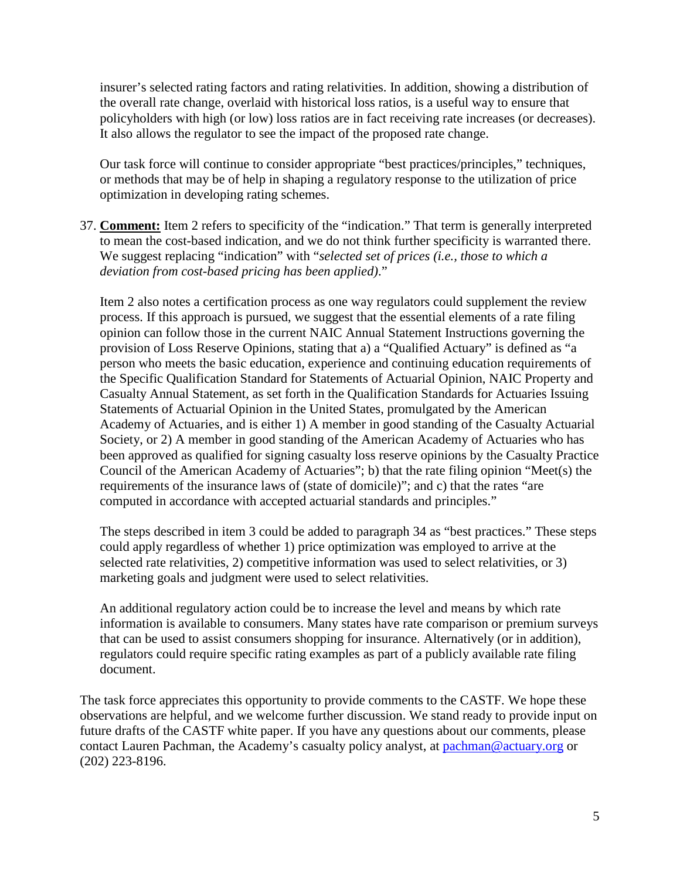insurer's selected rating factors and rating relativities. In addition, showing a distribution of the overall rate change, overlaid with historical loss ratios, is a useful way to ensure that policyholders with high (or low) loss ratios are in fact receiving rate increases (or decreases). It also allows the regulator to see the impact of the proposed rate change.

Our task force will continue to consider appropriate "best practices/principles," techniques, or methods that may be of help in shaping a regulatory response to the utilization of price optimization in developing rating schemes.

37. **Comment:** Item 2 refers to specificity of the "indication." That term is generally interpreted to mean the cost-based indication, and we do not think further specificity is warranted there. We suggest replacing "indication" with "*selected set of prices (i.e., those to which a deviation from cost-based pricing has been applied)*."

Item 2 also notes a certification process as one way regulators could supplement the review process. If this approach is pursued, we suggest that the essential elements of a rate filing opinion can follow those in the current NAIC Annual Statement Instructions governing the provision of Loss Reserve Opinions, stating that a) a "Qualified Actuary" is defined as "a person who meets the basic education, experience and continuing education requirements of the Specific Qualification Standard for Statements of Actuarial Opinion, NAIC Property and Casualty Annual Statement, as set forth in the Qualification Standards for Actuaries Issuing Statements of Actuarial Opinion in the United States, promulgated by the American Academy of Actuaries, and is either 1) A member in good standing of the Casualty Actuarial Society, or 2) A member in good standing of the American Academy of Actuaries who has been approved as qualified for signing casualty loss reserve opinions by the Casualty Practice Council of the American Academy of Actuaries"; b) that the rate filing opinion "Meet(s) the requirements of the insurance laws of (state of domicile)"; and c) that the rates "are computed in accordance with accepted actuarial standards and principles."

The steps described in item 3 could be added to paragraph 34 as "best practices." These steps could apply regardless of whether 1) price optimization was employed to arrive at the selected rate relativities, 2) competitive information was used to select relativities, or 3) marketing goals and judgment were used to select relativities.

An additional regulatory action could be to increase the level and means by which rate information is available to consumers. Many states have rate comparison or premium surveys that can be used to assist consumers shopping for insurance. Alternatively (or in addition), regulators could require specific rating examples as part of a publicly available rate filing document.

The task force appreciates this opportunity to provide comments to the CASTF. We hope these observations are helpful, and we welcome further discussion. We stand ready to provide input on future drafts of the CASTF white paper. If you have any questions about our comments, please contact Lauren Pachman, the Academy's casualty policy analyst, at [pachman@actuary.org](mailto:pachman@actuary.org) or (202) 223-8196.